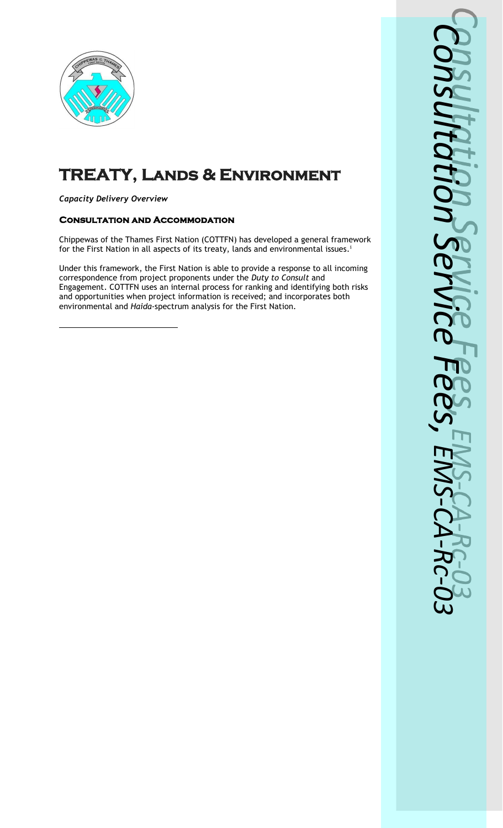

# **TREATY, Lands & Environment**

### *Capacity Delivery Overview*

### **Consultation and Accommodation**

Chippewas of the Thames First Nation (COTTFN) has developed a general framework for the First Nation in all aspects of its treaty, lands and environmental issues.<sup>i</sup>

Under this framework, the First Nation is able to provide a response to all incoming correspondence from project proponents under the *Duty to Consult* and Engagement. COTTFN uses an internal process for ranking and identifying both risks and opportunities when project information is received; and incorporates both environmental and *Haida-*spectrum analysis for the First Nation.

*Consultatio* NS *n Servic*  $\boldsymbol{\omega}$ *Fee s, EM S - CA - R c -03*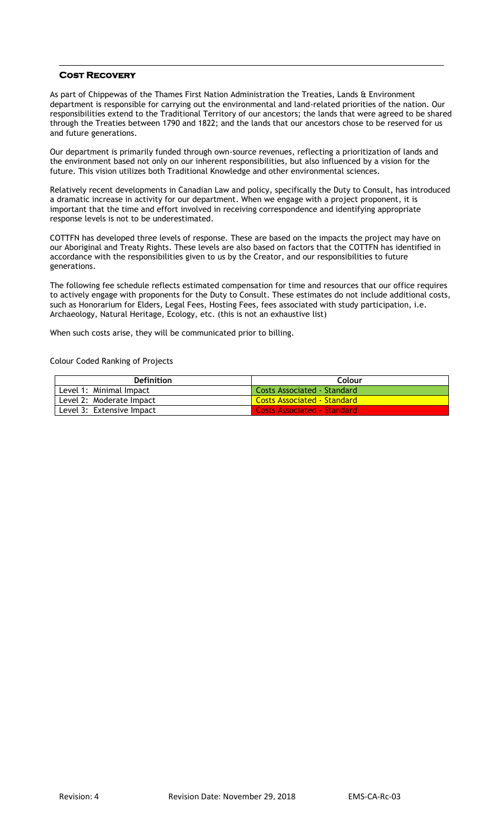#### **Cost Recovery**

As part of Chippewas of the Thames First Nation Administration the Treaties, Lands & Environment department is responsible for carrying out the environmental and land-related priorities of the nation. Our responsibilities extend to the Traditional Territory of our ancestors; the lands that were agreed to be shared through the Treaties between 1790 and 1822; and the lands that our ancestors chose to be reserved for us and future generations.

Our department is primarily funded through own-source revenues, reflecting a prioritization of lands and the environment based not only on our inherent responsibilities, but also influenced by a vision for the future. This vision utilizes both Traditional Knowledge and other environmental sciences.

Relatively recent developments in Canadian Law and policy, specifically the Duty to Consult, has introduced a dramatic increase in activity for our department. When we engage with a project proponent, it is important that the time and effort involved in receiving correspondence and identifying appropriate response levels is not to be underestimated.

COTTFN has developed three levels of response. These are based on the impacts the project may have on our Aboriginal and Treaty Rights. These levels are also based on factors that the COTTFN has identified in accordance with the responsibilities given to us by the Creator, and our responsibilities to future generations.

The following fee schedule reflects estimated compensation for time and resources that our office requires to actively engage with proponents for the Duty to Consult. These estimates do not include additional costs, such as Honorarium for Elders, Legal Fees, Hosting Fees, fees associated with study participation, i.e. Archaeology, Natural Heritage, Ecology, etc. (this is not an exhaustive list)

When such costs arise, they will be communicated prior to billing.

Colour Coded Ranking of Projects

| <b>Definition</b>         | Colour                             |  |  |
|---------------------------|------------------------------------|--|--|
| Level 1: Minimal Impact   | Costs Associated - Standard        |  |  |
| Level 2: Moderate Impact  | <b>Costs Associated - Standard</b> |  |  |
| Level 3: Extensive Impact | Costs Associated - Standard        |  |  |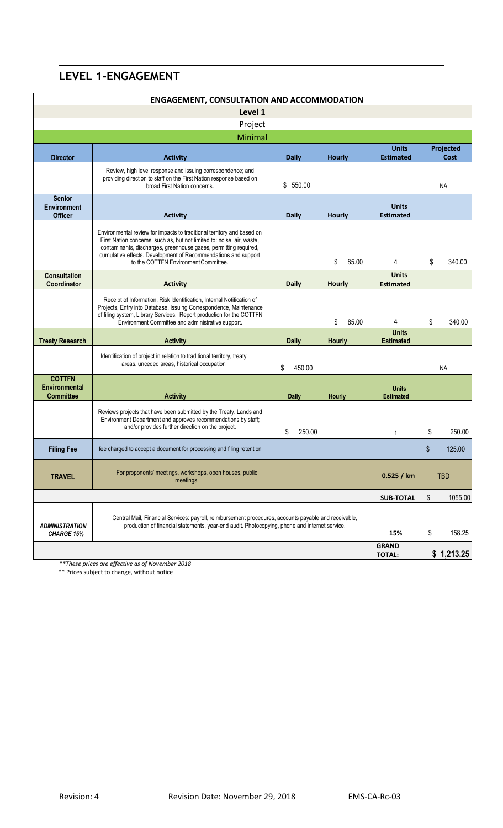## **LEVEL 1-ENGAGEMENT**

| <b>ENGAGEMENT, CONSULTATION AND ACCOMMODATION</b>                                                                                                                                                                                             |                                                                                                                                                                                                                                                                                                                                |              |               |                                  |            |            |  |
|-----------------------------------------------------------------------------------------------------------------------------------------------------------------------------------------------------------------------------------------------|--------------------------------------------------------------------------------------------------------------------------------------------------------------------------------------------------------------------------------------------------------------------------------------------------------------------------------|--------------|---------------|----------------------------------|------------|------------|--|
| Level 1                                                                                                                                                                                                                                       |                                                                                                                                                                                                                                                                                                                                |              |               |                                  |            |            |  |
| Project                                                                                                                                                                                                                                       |                                                                                                                                                                                                                                                                                                                                |              |               |                                  |            |            |  |
| Minimal<br><b>Units</b><br>Projected                                                                                                                                                                                                          |                                                                                                                                                                                                                                                                                                                                |              |               |                                  |            |            |  |
| <b>Director</b>                                                                                                                                                                                                                               | <b>Activity</b>                                                                                                                                                                                                                                                                                                                | <b>Daily</b> | <b>Hourly</b> | <b>Estimated</b>                 | Cost       |            |  |
|                                                                                                                                                                                                                                               | Review, high level response and issuing correspondence; and<br>providing direction to staff on the First Nation response based on<br>broad First Nation concerns.                                                                                                                                                              | \$550.00     |               |                                  | NA.        |            |  |
| <b>Senior</b><br><b>Environment</b><br><b>Officer</b>                                                                                                                                                                                         | <b>Activity</b>                                                                                                                                                                                                                                                                                                                | <b>Daily</b> | <b>Hourly</b> | <b>Units</b><br><b>Estimated</b> |            |            |  |
|                                                                                                                                                                                                                                               | Environmental review for impacts to traditional territory and based on<br>First Nation concerns, such as, but not limited to: noise, air, waste,<br>contaminants, discharges, greenhouse gases, permitting required,<br>cumulative effects. Development of Recommendations and support<br>to the COTTFN Environment Committee. |              | \$<br>85.00   | 4                                | \$         | 340.00     |  |
| <b>Consultation</b><br>Coordinator                                                                                                                                                                                                            | <b>Activity</b>                                                                                                                                                                                                                                                                                                                | Daily        | <b>Hourly</b> | <b>Units</b><br><b>Estimated</b> |            |            |  |
|                                                                                                                                                                                                                                               | Receipt of Information, Risk Identification, Internal Notification of<br>Projects, Entry into Database, Issuing Correspondence, Maintenance<br>of filing system, Library Services. Report production for the COTTFN<br>Environment Committee and administrative support.                                                       |              | \$<br>85.00   | 4                                | \$         | 340.00     |  |
| <b>Treaty Research</b>                                                                                                                                                                                                                        | <b>Activity</b>                                                                                                                                                                                                                                                                                                                | <b>Daily</b> | Hourly        | <b>Units</b><br><b>Estimated</b> |            |            |  |
|                                                                                                                                                                                                                                               | Identification of project in relation to traditional territory, treaty<br>areas, unceded areas, historical occupation                                                                                                                                                                                                          | \$<br>450.00 |               | <b>NA</b>                        |            |            |  |
| <b>COTTFN</b><br><b>Environmental</b><br><b>Committee</b>                                                                                                                                                                                     | <b>Activity</b>                                                                                                                                                                                                                                                                                                                | <b>Daily</b> | Hourly        | <b>Units</b><br><b>Estimated</b> |            |            |  |
|                                                                                                                                                                                                                                               | Reviews projects that have been submitted by the Treaty, Lands and<br>Environment Department and approves recommendations by staff;<br>and/or provides further direction on the project.                                                                                                                                       | \$<br>250.00 |               | $\mathbf{1}$                     | \$         | 250.00     |  |
| <b>Filing Fee</b>                                                                                                                                                                                                                             | fee charged to accept a document for processing and filing retention                                                                                                                                                                                                                                                           |              |               |                                  | \$         | 125.00     |  |
| <b>TRAVEL</b>                                                                                                                                                                                                                                 | For proponents' meetings, workshops, open houses, public<br>meetings.                                                                                                                                                                                                                                                          |              |               | 0.525 / km                       | <b>TBD</b> |            |  |
|                                                                                                                                                                                                                                               |                                                                                                                                                                                                                                                                                                                                |              |               |                                  | \$         | 1055.00    |  |
| Central Mail, Financial Services: payroll, reimbursement procedures, accounts payable and receivable,<br>production of financial statements, year-end audit. Photocopying, phone and internet service.<br><b>ADMINISTRATION</b><br>CHARGE 15% |                                                                                                                                                                                                                                                                                                                                |              | 15%           | \$                               | 158.25     |            |  |
|                                                                                                                                                                                                                                               |                                                                                                                                                                                                                                                                                                                                |              |               | <b>GRAND</b><br><b>TOTAL:</b>    |            | \$1,213.25 |  |

*\*\*These prices are effective as of November 2018*

\*\* Prices subject to change, without notice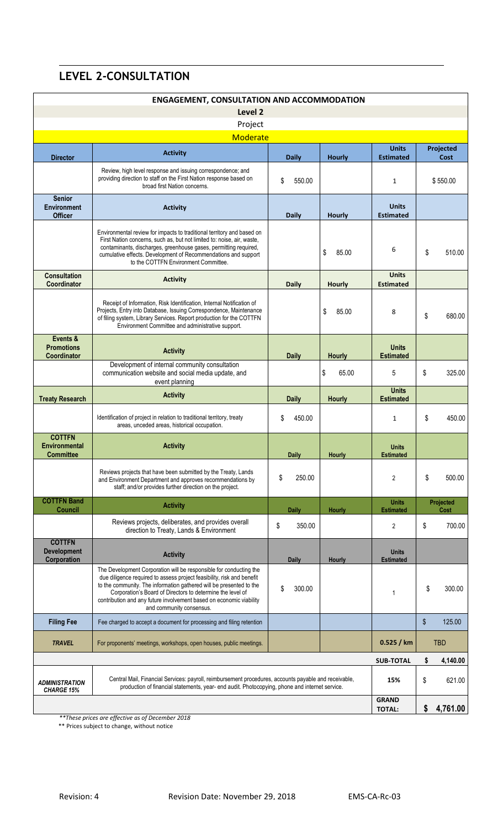# **LEVEL 2-CONSULTATION**

| <b>ENGAGEMENT, CONSULTATION AND ACCOMMODATION</b>         |                                                                                                                                                                                                                                                                                                                                                                                      |                              |               |                                  |                          |          |
|-----------------------------------------------------------|--------------------------------------------------------------------------------------------------------------------------------------------------------------------------------------------------------------------------------------------------------------------------------------------------------------------------------------------------------------------------------------|------------------------------|---------------|----------------------------------|--------------------------|----------|
| Level 2                                                   |                                                                                                                                                                                                                                                                                                                                                                                      |                              |               |                                  |                          |          |
| Project<br><b>Moderate</b>                                |                                                                                                                                                                                                                                                                                                                                                                                      |                              |               |                                  |                          |          |
|                                                           | <b>Activity</b>                                                                                                                                                                                                                                                                                                                                                                      |                              |               | <b>Units</b>                     | Projected                |          |
| <b>Director</b>                                           | Review, high level response and issuing correspondence; and<br>providing direction to staff on the First Nation response based on<br>broad first Nation concerns.                                                                                                                                                                                                                    | <b>Daily</b><br>\$<br>550.00 | <b>Hourly</b> | <b>Estimated</b><br>1            | Cost<br>\$550.00         |          |
| <b>Senior</b><br><b>Environment</b><br><b>Officer</b>     | <b>Activity</b>                                                                                                                                                                                                                                                                                                                                                                      | <b>Daily</b>                 | <b>Hourly</b> | <b>Units</b><br><b>Estimated</b> |                          |          |
|                                                           | Environmental review for impacts to traditional territory and based on<br>First Nation concerns, such as, but not limited to: noise, air, waste,<br>contaminants, discharges, greenhouse gases, permitting required,<br>cumulative effects. Development of Recommendations and support<br>to the COTTFN Environment Committee.                                                       |                              | \$<br>85.00   | 6                                | \$                       | 510.00   |
| <b>Consultation</b><br><b>Coordinator</b>                 | <b>Activity</b>                                                                                                                                                                                                                                                                                                                                                                      | Daily                        | <b>Hourly</b> | <b>Units</b><br><b>Estimated</b> |                          |          |
|                                                           | Receipt of Information, Risk Identification, Internal Notification of<br>Projects, Entry into Database, Issuing Correspondence, Maintenance<br>of filing system, Library Services. Report production for the COTTFN<br>Environment Committee and administrative support.                                                                                                             |                              | \$<br>85.00   | 8                                | \$                       | 680.00   |
| Events &<br><b>Promotions</b><br>Coordinator              | <b>Activity</b>                                                                                                                                                                                                                                                                                                                                                                      | <b>Daily</b>                 | <b>Hourly</b> | <b>Units</b><br><b>Estimated</b> |                          |          |
|                                                           | Development of internal community consultation<br>communication website and social media update, and<br>event planning                                                                                                                                                                                                                                                               |                              | \$<br>65.00   | 5                                | \$                       | 325.00   |
| <b>Treaty Research</b>                                    | <b>Activity</b>                                                                                                                                                                                                                                                                                                                                                                      | <b>Daily</b>                 | <b>Hourly</b> | <b>Units</b><br><b>Estimated</b> |                          |          |
|                                                           | Identification of project in relation to traditional territory, treaty<br>areas, unceded areas, historical occupation.                                                                                                                                                                                                                                                               | \$<br>450.00                 |               | 1                                | \$                       | 450.00   |
| <b>COTTFN</b><br><b>Environmental</b><br><b>Committee</b> | <b>Activity</b>                                                                                                                                                                                                                                                                                                                                                                      | <b>Daily</b>                 | <b>Hourly</b> | <b>Units</b><br><b>Estimated</b> |                          |          |
|                                                           | Reviews projects that have been submitted by the Treaty, Lands<br>and Environment Department and approves recommendations by<br>staff; and/or provides further direction on the project.                                                                                                                                                                                             | \$<br>250.00                 |               | $\overline{2}$                   | \$                       | 500.00   |
| <b>COTTFN Band</b><br><b>Council</b>                      | <b>Activity</b>                                                                                                                                                                                                                                                                                                                                                                      | <b>Daily</b>                 | Hourly        | <b>Units</b><br><b>Estimated</b> | <b>Projected</b><br>Cost |          |
|                                                           | Reviews projects, deliberates, and provides overall<br>direction to Treaty, Lands & Environment                                                                                                                                                                                                                                                                                      | \$<br>350.00                 |               | 2                                | \$                       | 700.00   |
| <b>COTTFN</b><br><b>Development</b><br>Corporation        | <b>Activity</b>                                                                                                                                                                                                                                                                                                                                                                      | <b>Daily</b>                 | <b>Hourly</b> | <b>Units</b><br><b>Estimated</b> |                          |          |
|                                                           | The Development Corporation will be responsible for conducting the<br>due diligence required to assess project feasibility, risk and benefit<br>to the community. The information gathered will be presented to the<br>Corporation's Board of Directors to determine the level of<br>contribution and any future involvement based on economic viability<br>and community consensus. | \$<br>300.00                 |               | 1                                | \$                       | 300.00   |
| <b>Filing Fee</b>                                         | Fee charged to accept a document for processing and filing retention                                                                                                                                                                                                                                                                                                                 |                              |               |                                  | \$                       | 125.00   |
| <b>TRAVEL</b>                                             | For proponents' meetings, workshops, open houses, public meetings.                                                                                                                                                                                                                                                                                                                   |                              |               | 0.525 / km                       | <b>TBD</b>               |          |
|                                                           |                                                                                                                                                                                                                                                                                                                                                                                      |                              |               | <b>SUB-TOTAL</b>                 | \$                       | 4,140.00 |
| <b>ADMINISTRATION</b><br><b>CHARGE 15%</b>                | Central Mail, Financial Services: payroll, reimbursement procedures, accounts payable and receivable,<br>production of financial statements, year- end audit. Photocopying, phone and internet service.                                                                                                                                                                              |                              |               | 15%                              | \$                       | 621.00   |
|                                                           |                                                                                                                                                                                                                                                                                                                                                                                      |                              |               | <b>GRAND</b><br><b>TOTAL:</b>    | \$                       | 4,761.00 |

*\*\*These prices are effective as of December 2018*

\*\* Prices subject to change, without notice